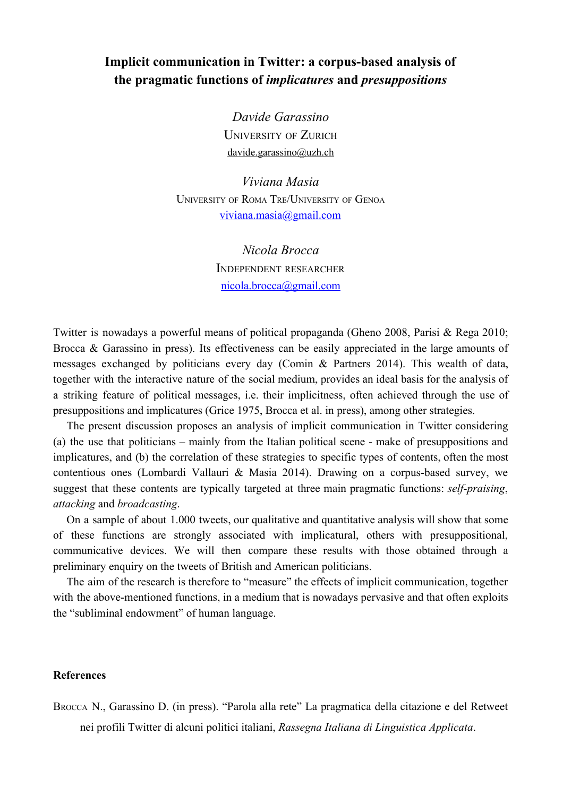## Implicit communication in Twitter: a corpus-based analysis of **the pragmatic functions of** *implicatu res* **and** *presuppositions*

*Davide Garassino* UNIVERSITY OF ZURICH [davide.garassino@uzh.ch](mailto:davide.garassino@uzh.ch)

*Viviana Masia* UNIVERSITY OF ROMA TRE/UNIVERSITY OF GENOA [viviana.masia@gmail.com](mailto:viviana.masia@gmail.com)

> *Nicola Brocca* INDEPENDENT RESEARCHER [nicola.brocca@gmail.com](mailto:nicola.brocca@gmail.com)

Twitter is nowadays a powerful means of political propaganda (Gheno 2008, Parisi & Rega 2010; Brocca & Garassino in press). Its effectiveness can be easily appreciated in the large amounts of messages exchanged by politicians every day (Comin & Partners 2014). This wealth of data, together with the interactive nature of the social medium, provides an ideal basis for the analysis of a striking feature of political messages, i.e. their implicitness, often achieved through the use of presuppositions and implicatures (Grice 1975, Brocca et al. in press), among other strategies.

The present discussion proposes an analysis of implicit communication in Twitter considering (a) the use that politicians – mainly from the Italian political scene make of presuppositions and implicatures, and (b) the correlation of these strategies to specific types of contents, often the most contentious ones (Lombardi Vallauri & Masia 2014). Drawing on a corpus-based survey, we suggest that these contents are typically targeted at three main pragmatic functions: *self-praising*, *attacking* and *broadcasting*.

On a sample of about 1.000 tweets, our qualitative and quantitative analysis will show that some of these functions are strongly associated with implicatural, others with presuppositional, communicative devices. We will then compare these results with those obtained through a preliminary enquiry on the tweets of British and American politicians.

The aim of the research is therefore to "measure" the effects of implicit communication, together with the above-mentioned functions, in a medium that is nowadays pervasive and that often exploits the "subliminal endowment" of human language.

## **References**

BROCCA N., Garassino D. (in press). "Parola alla rete" La pragmatica della citazione e del Retweet nei profili Twitter di alcuni politici italiani, *Rassegna Italiana di Linguistica Applicata*.